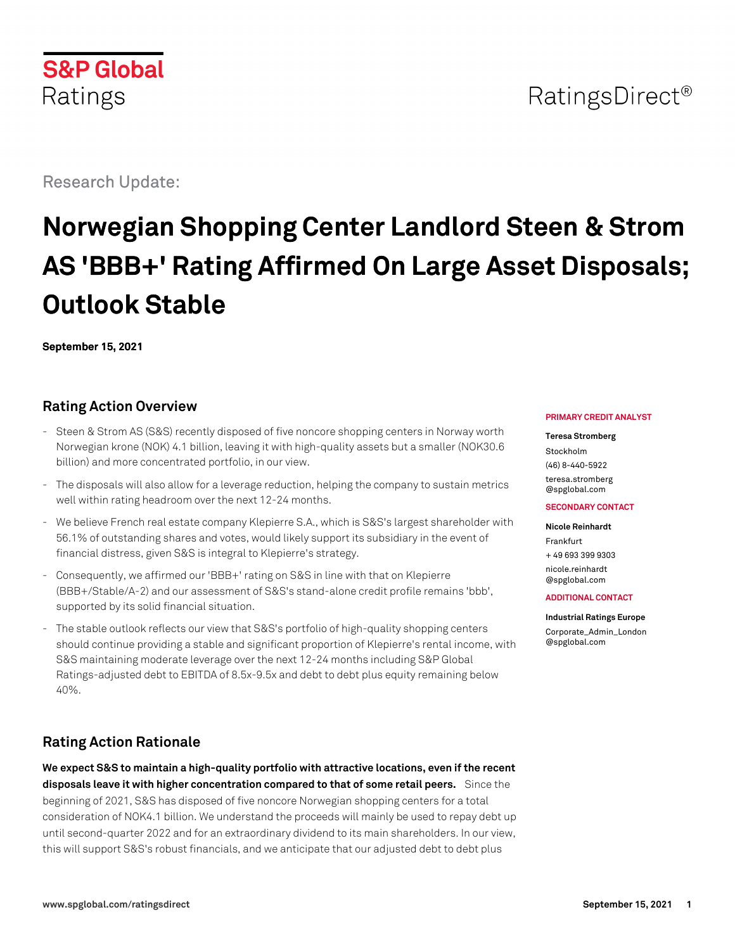# RatingsDirect<sup>®</sup>

Research Update:

**S&P Global** 

Ratings

# **Norwegian Shopping Center Landlord Steen & Strom AS 'BBB+' Rating Affirmed On Large Asset Disposals; Outlook Stable**

**September 15, 2021**

# **Rating Action Overview**

- Steen & Strom AS (S&S) recently disposed of five noncore shopping centers in Norway worth Norwegian krone (NOK) 4.1 billion, leaving it with high-quality assets but a smaller (NOK30.6 billion) and more concentrated portfolio, in our view.
- The disposals will also allow for a leverage reduction, helping the company to sustain metrics well within rating headroom over the next 12-24 months.
- We believe French real estate company Klepierre S.A., which is S&S's largest shareholder with 56.1% of outstanding shares and votes, would likely support its subsidiary in the event of financial distress, given S&S is integral to Klepierre's strategy.
- Consequently, we affirmed our 'BBB+' rating on S&S in line with that on Klepierre (BBB+/Stable/A-2) and our assessment of S&S's stand-alone credit profile remains 'bbb', supported by its solid financial situation.
- The stable outlook reflects our view that S&S's portfolio of high-quality shopping centers should continue providing a stable and significant proportion of Klepierre's rental income, with S&S maintaining moderate leverage over the next 12-24 months including S&P Global Ratings-adjusted debt to EBITDA of 8.5x-9.5x and debt to debt plus equity remaining below 40%.

# **Rating Action Rationale**

**We expect S&S to maintain a high-quality portfolio with attractive locations, even if the recent disposals leave it with higher concentration compared to that of some retail peers.** Since the beginning of 2021, S&S has disposed of five noncore Norwegian shopping centers for a total consideration of NOK4.1 billion. We understand the proceeds will mainly be used to repay debt up until second-quarter 2022 and for an extraordinary dividend to its main shareholders. In our view, this will support S&S's robust financials, and we anticipate that our adjusted debt to debt plus

#### **PRIMARY CREDIT ANALYST**

**Teresa Stromberg** Stockholm (46) 8-440-5922 [teresa.stromberg](mailto:teresa.stromberg@spglobal.com) [@spglobal.com](mailto:teresa.stromberg@spglobal.com)

#### **SECONDARY CONTACT**

**Nicole Reinhardt**

Frankfurt + 49 693 399 9303 [nicole.reinhardt](mailto:nicole.reinhardt@spglobal.com) [@spglobal.com](mailto:nicole.reinhardt@spglobal.com)

#### **ADDITIONAL CONTACT**

**Industrial Ratings Europe**

[Corporate\\_Admin\\_London](mailto:Corporate_Admin_London@spglobal.com) [@spglobal.com](mailto:Corporate_Admin_London@spglobal.com)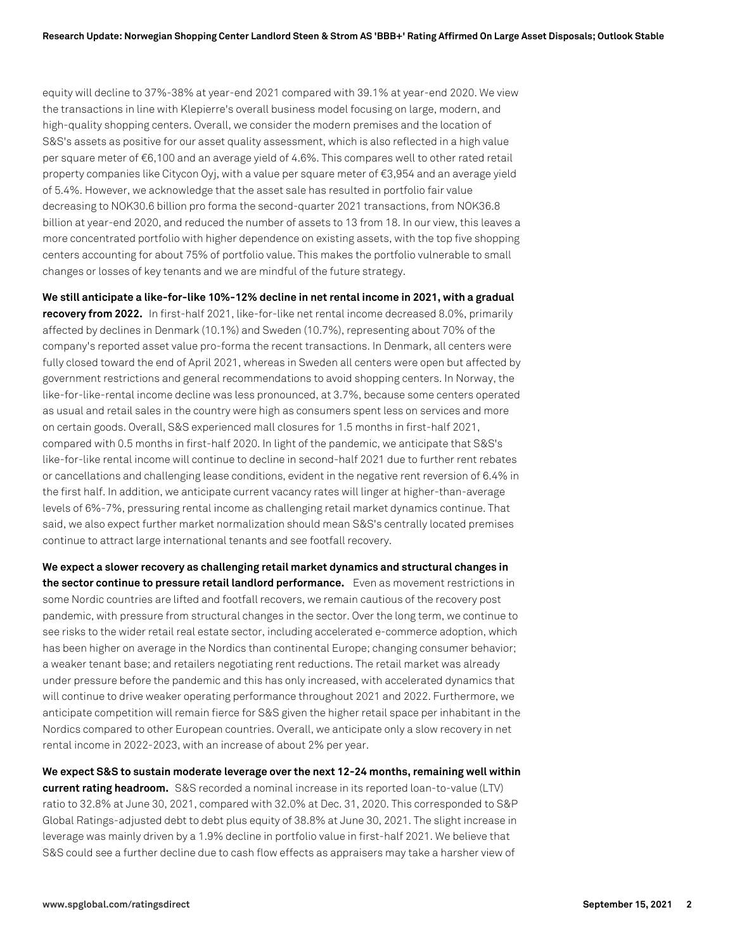equity will decline to 37%-38% at year-end 2021 compared with 39.1% at year-end 2020. We view the transactions in line with Klepierre's overall business model focusing on large, modern, and high-quality shopping centers. Overall, we consider the modern premises and the location of S&S's assets as positive for our asset quality assessment, which is also reflected in a high value per square meter of €6,100 and an average yield of 4.6%. This compares well to other rated retail property companies like Citycon Oyj, with a value per square meter of €3,954 and an average yield of 5.4%. However, we acknowledge that the asset sale has resulted in portfolio fair value decreasing to NOK30.6 billion pro forma the second-quarter 2021 transactions, from NOK36.8 billion at year-end 2020, and reduced the number of assets to 13 from 18. In our view, this leaves a more concentrated portfolio with higher dependence on existing assets, with the top five shopping centers accounting for about 75% of portfolio value. This makes the portfolio vulnerable to small changes or losses of key tenants and we are mindful of the future strategy.

**We still anticipate a like-for-like 10%-12% decline in net rental income in 2021, with a gradual recovery from 2022.** In first-half 2021, like-for-like net rental income decreased 8.0%, primarily affected by declines in Denmark (10.1%) and Sweden (10.7%), representing about 70% of the company's reported asset value pro-forma the recent transactions. In Denmark, all centers were fully closed toward the end of April 2021, whereas in Sweden all centers were open but affected by government restrictions and general recommendations to avoid shopping centers. In Norway, the like-for-like-rental income decline was less pronounced, at 3.7%, because some centers operated as usual and retail sales in the country were high as consumers spent less on services and more on certain goods. Overall, S&S experienced mall closures for 1.5 months in first-half 2021, compared with 0.5 months in first-half 2020. In light of the pandemic, we anticipate that S&S's like-for-like rental income will continue to decline in second-half 2021 due to further rent rebates or cancellations and challenging lease conditions, evident in the negative rent reversion of 6.4% in the first half. In addition, we anticipate current vacancy rates will linger at higher-than-average levels of 6%-7%, pressuring rental income as challenging retail market dynamics continue. That said, we also expect further market normalization should mean S&S's centrally located premises continue to attract large international tenants and see footfall recovery.

**We expect a slower recovery as challenging retail market dynamics and structural changes in the sector continue to pressure retail landlord performance.** Even as movement restrictions in some Nordic countries are lifted and footfall recovers, we remain cautious of the recovery post pandemic, with pressure from structural changes in the sector. Over the long term, we continue to see risks to the wider retail real estate sector, including accelerated e-commerce adoption, which has been higher on average in the Nordics than continental Europe; changing consumer behavior; a weaker tenant base; and retailers negotiating rent reductions. The retail market was already under pressure before the pandemic and this has only increased, with accelerated dynamics that will continue to drive weaker operating performance throughout 2021 and 2022. Furthermore, we anticipate competition will remain fierce for S&S given the higher retail space per inhabitant in the Nordics compared to other European countries. Overall, we anticipate only a slow recovery in net rental income in 2022-2023, with an increase of about 2% per year.

**We expect S&S to sustain moderate leverage over the next 12-24 months, remaining well within current rating headroom.** S&S recorded a nominal increase in its reported loan-to-value (LTV) ratio to 32.8% at June 30, 2021, compared with 32.0% at Dec. 31, 2020. This corresponded to S&P Global Ratings-adjusted debt to debt plus equity of 38.8% at June 30, 2021. The slight increase in leverage was mainly driven by a 1.9% decline in portfolio value in first-half 2021. We believe that S&S could see a further decline due to cash flow effects as appraisers may take a harsher view of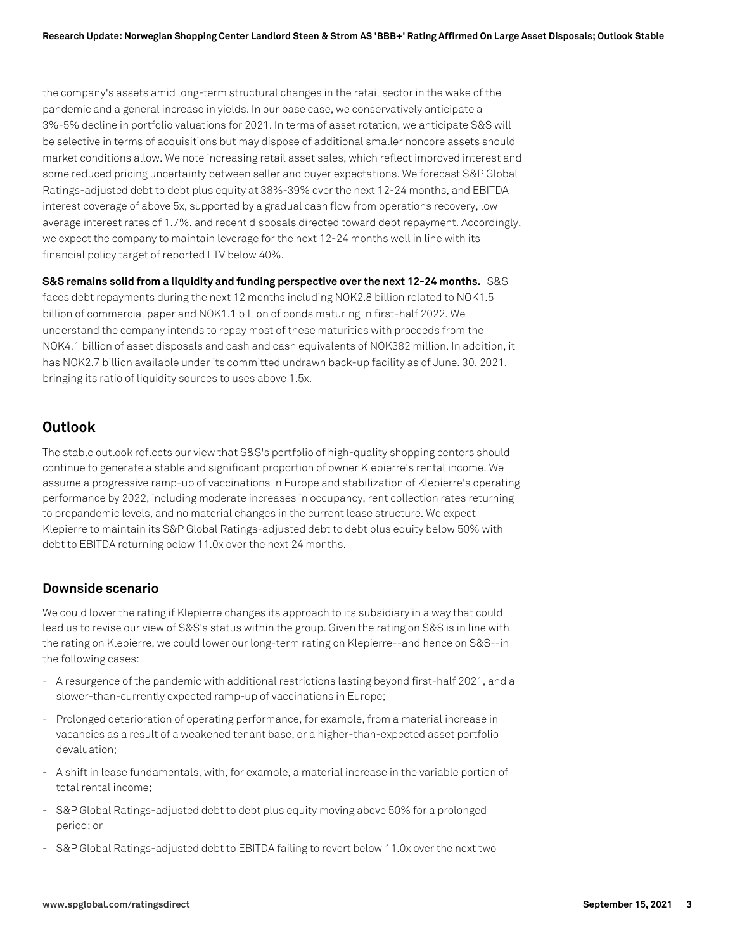the company's assets amid long-term structural changes in the retail sector in the wake of the pandemic and a general increase in yields. In our base case, we conservatively anticipate a 3%-5% decline in portfolio valuations for 2021. In terms of asset rotation, we anticipate S&S will be selective in terms of acquisitions but may dispose of additional smaller noncore assets should market conditions allow. We note increasing retail asset sales, which reflect improved interest and some reduced pricing uncertainty between seller and buyer expectations. We forecast S&P Global Ratings-adjusted debt to debt plus equity at 38%-39% over the next 12-24 months, and EBITDA interest coverage of above 5x, supported by a gradual cash flow from operations recovery, low average interest rates of 1.7%, and recent disposals directed toward debt repayment. Accordingly, we expect the company to maintain leverage for the next 12-24 months well in line with its financial policy target of reported LTV below 40%.

**S&S remains solid from a liquidity and funding perspective over the next 12-24 months.** S&S faces debt repayments during the next 12 months including NOK2.8 billion related to NOK1.5 billion of commercial paper and NOK1.1 billion of bonds maturing in first-half 2022. We understand the company intends to repay most of these maturities with proceeds from the NOK4.1 billion of asset disposals and cash and cash equivalents of NOK382 million. In addition, it has NOK2.7 billion available under its committed undrawn back-up facility as of June. 30, 2021, bringing its ratio of liquidity sources to uses above 1.5x.

## **Outlook**

The stable outlook reflects our view that S&S's portfolio of high-quality shopping centers should continue to generate a stable and significant proportion of owner Klepierre's rental income. We assume a progressive ramp-up of vaccinations in Europe and stabilization of Klepierre's operating performance by 2022, including moderate increases in occupancy, rent collection rates returning to prepandemic levels, and no material changes in the current lease structure. We expect Klepierre to maintain its S&P Global Ratings-adjusted debt to debt plus equity below 50% with debt to EBITDA returning below 11.0x over the next 24 months.

### **Downside scenario**

We could lower the rating if Klepierre changes its approach to its subsidiary in a way that could lead us to revise our view of S&S's status within the group. Given the rating on S&S is in line with the rating on Klepierre, we could lower our long-term rating on Klepierre--and hence on S&S--in the following cases:

- A resurgence of the pandemic with additional restrictions lasting beyond first-half 2021, and a slower-than-currently expected ramp-up of vaccinations in Europe;
- Prolonged deterioration of operating performance, for example, from a material increase in vacancies as a result of a weakened tenant base, or a higher-than-expected asset portfolio devaluation;
- A shift in lease fundamentals, with, for example, a material increase in the variable portion of total rental income;
- S&P Global Ratings-adjusted debt to debt plus equity moving above 50% for a prolonged period; or
- S&P Global Ratings-adjusted debt to EBITDA failing to revert below 11.0x over the next two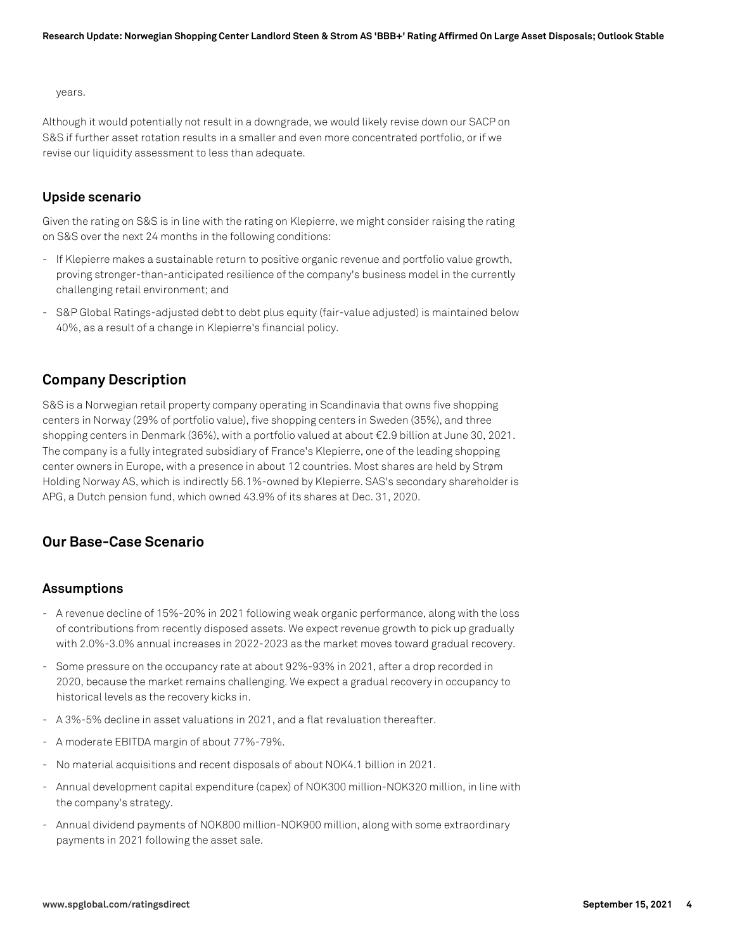years.

Although it would potentially not result in a downgrade, we would likely revise down our SACP on S&S if further asset rotation results in a smaller and even more concentrated portfolio, or if we revise our liquidity assessment to less than adequate.

## **Upside scenario**

Given the rating on S&S is in line with the rating on Klepierre, we might consider raising the rating on S&S over the next 24 months in the following conditions:

- If Klepierre makes a sustainable return to positive organic revenue and portfolio value growth, proving stronger-than-anticipated resilience of the company's business model in the currently challenging retail environment; and
- S&P Global Ratings-adjusted debt to debt plus equity (fair-value adjusted) is maintained below 40%, as a result of a change in Klepierre's financial policy.

# **Company Description**

S&S is a Norwegian retail property company operating in Scandinavia that owns five shopping centers in Norway (29% of portfolio value), five shopping centers in Sweden (35%), and three shopping centers in Denmark (36%), with a portfolio valued at about €2.9 billion at June 30, 2021. The company is a fully integrated subsidiary of France's Klepierre, one of the leading shopping center owners in Europe, with a presence in about 12 countries. Most shares are held by Strøm Holding Norway AS, which is indirectly 56.1%-owned by Klepierre. SAS's secondary shareholder is APG, a Dutch pension fund, which owned 43.9% of its shares at Dec. 31, 2020.

# **Our Base-Case Scenario**

## **Assumptions**

- A revenue decline of 15%-20% in 2021 following weak organic performance, along with the loss of contributions from recently disposed assets. We expect revenue growth to pick up gradually with 2.0%-3.0% annual increases in 2022-2023 as the market moves toward gradual recovery.
- Some pressure on the occupancy rate at about 92%-93% in 2021, after a drop recorded in 2020, because the market remains challenging. We expect a gradual recovery in occupancy to historical levels as the recovery kicks in.
- A 3%-5% decline in asset valuations in 2021, and a flat revaluation thereafter.
- A moderate EBITDA margin of about 77%-79%.
- No material acquisitions and recent disposals of about NOK4.1 billion in 2021.
- Annual development capital expenditure (capex) of NOK300 million-NOK320 million, in line with the company's strategy.
- Annual dividend payments of NOK800 million-NOK900 million, along with some extraordinary payments in 2021 following the asset sale.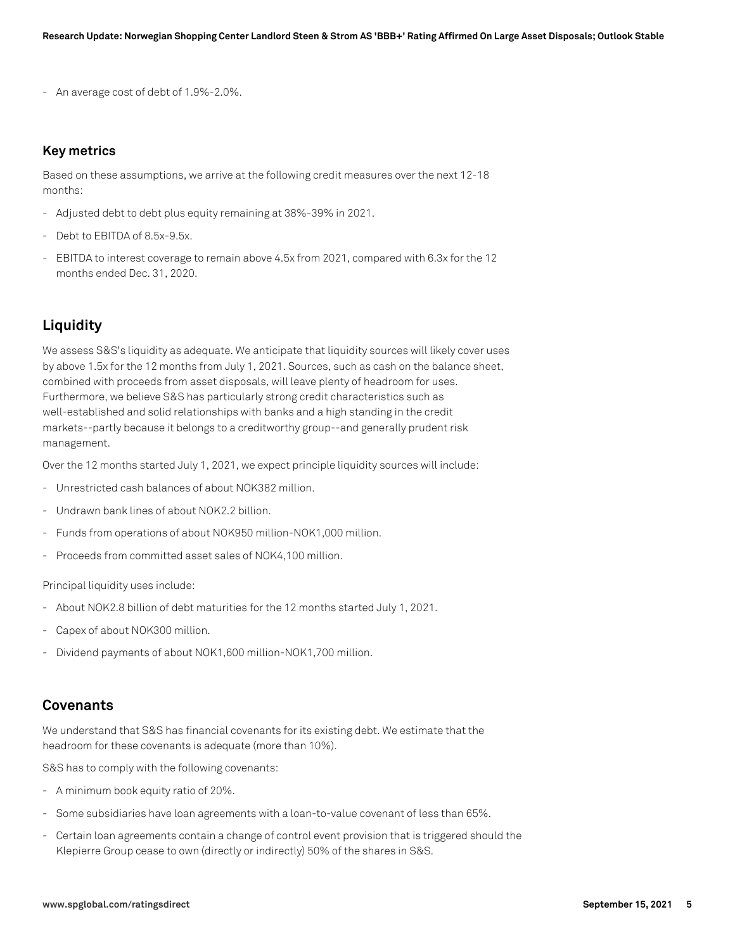- An average cost of debt of 1.9%-2.0%.

#### **Key metrics**

Based on these assumptions, we arrive at the following credit measures over the next 12-18 months:

- Adjusted debt to debt plus equity remaining at 38%-39% in 2021.
- Debt to EBITDA of 8.5x-9.5x.
- EBITDA to interest coverage to remain above 4.5x from 2021, compared with 6.3x for the 12 months ended Dec. 31, 2020.

### **Liquidity**

We assess S&S's liquidity as adequate. We anticipate that liquidity sources will likely cover uses by above 1.5x for the 12 months from July 1, 2021. Sources, such as cash on the balance sheet, combined with proceeds from asset disposals, will leave plenty of headroom for uses. Furthermore, we believe S&S has particularly strong credit characteristics such as well-established and solid relationships with banks and a high standing in the credit markets--partly because it belongs to a creditworthy group--and generally prudent risk management.

Over the 12 months started July 1, 2021, we expect principle liquidity sources will include:

- Unrestricted cash balances of about NOK382 million.
- Undrawn bank lines of about NOK2.2 billion.
- Funds from operations of about NOK950 million-NOK1,000 million.
- Proceeds from committed asset sales of NOK4,100 million.

Principal liquidity uses include:

- About NOK2.8 billion of debt maturities for the 12 months started July 1, 2021.
- Capex of about NOK300 million.
- Dividend payments of about NOK1,600 million-NOK1,700 million.

### **Covenants**

We understand that S&S has financial covenants for its existing debt. We estimate that the headroom for these covenants is adequate (more than 10%).

S&S has to comply with the following covenants:

- A minimum book equity ratio of 20%.
- Some subsidiaries have loan agreements with a loan-to-value covenant of less than 65%.
- Certain loan agreements contain a change of control event provision that is triggered should the Klepierre Group cease to own (directly or indirectly) 50% of the shares in S&S.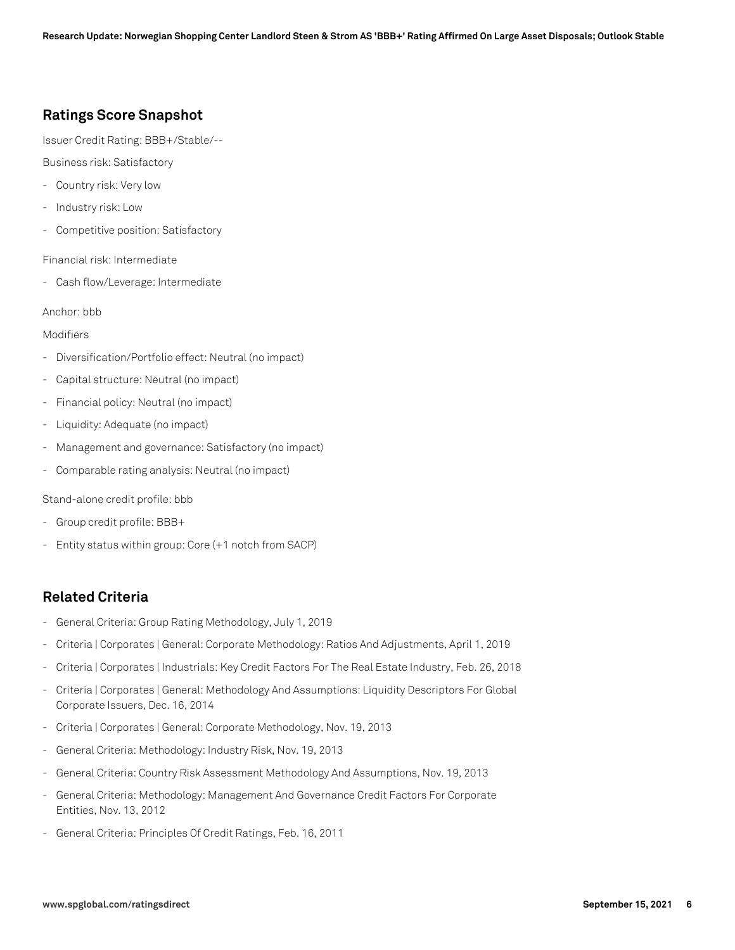# **Ratings Score Snapshot**

Issuer Credit Rating: BBB+/Stable/--

Business risk: Satisfactory

- Country risk: Very low
- Industry risk: Low
- Competitive position: Satisfactory

Financial risk: Intermediate

- Cash flow/Leverage: Intermediate

Anchor: bbb

Modifiers

- Diversification/Portfolio effect: Neutral (no impact)
- Capital structure: Neutral (no impact)
- Financial policy: Neutral (no impact)
- Liquidity: Adequate (no impact)
- Management and governance: Satisfactory (no impact)
- Comparable rating analysis: Neutral (no impact)

Stand-alone credit profile: bbb

- Group credit profile: BBB+
- Entity status within group: Core (+1 notch from SACP)

# **Related Criteria**

- General Criteria: Group Rating Methodology, July 1, 2019
- Criteria | Corporates | General: Corporate Methodology: Ratios And Adjustments, April 1, 2019
- Criteria | Corporates | Industrials: Key Credit Factors For The Real Estate Industry, Feb. 26, 2018
- Criteria | Corporates | General: Methodology And Assumptions: Liquidity Descriptors For Global Corporate Issuers, Dec. 16, 2014
- Criteria | Corporates | General: Corporate Methodology, Nov. 19, 2013
- General Criteria: Methodology: Industry Risk, Nov. 19, 2013
- General Criteria: Country Risk Assessment Methodology And Assumptions, Nov. 19, 2013
- General Criteria: Methodology: Management And Governance Credit Factors For Corporate Entities, Nov. 13, 2012
- General Criteria: Principles Of Credit Ratings, Feb. 16, 2011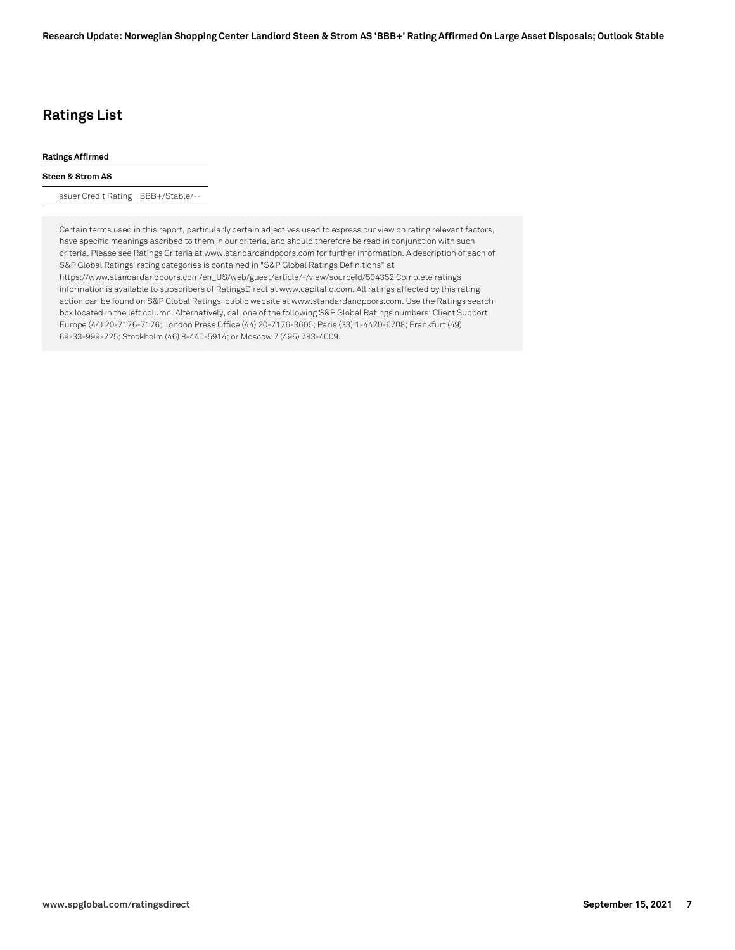# **Ratings List**

#### **Ratings Affirmed**

#### **Steen & Strom AS**

Issuer Credit Rating BBB+/Stable/--

Certain terms used in this report, particularly certain adjectives used to express our view on rating relevant factors, have specific meanings ascribed to them in our criteria, and should therefore be read in conjunction with such criteria. Please see Ratings Criteria at www.standardandpoors.com for further information. A description of each of S&P Global Ratings' rating categories is contained in "S&P Global Ratings Definitions" at https://www.standardandpoors.com/en\_US/web/guest/article/-/view/sourceId/504352 Complete ratings information is available to subscribers of RatingsDirect at www.capitaliq.com. All ratings affected by this rating action can be found on S&P Global Ratings' public website at www.standardandpoors.com. Use the Ratings search box located in the left column. Alternatively, call one of the following S&P Global Ratings numbers: Client Support Europe (44) 20-7176-7176; London Press Office (44) 20-7176-3605; Paris (33) 1-4420-6708; Frankfurt (49) 69-33-999-225; Stockholm (46) 8-440-5914; or Moscow 7 (495) 783-4009.